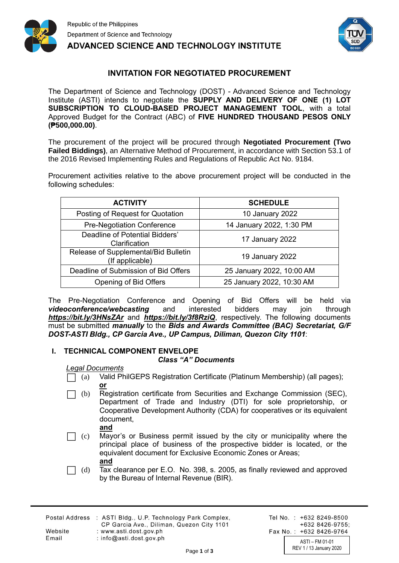



# **INVITATION FOR NEGOTIATED PROCUREMENT**

The Department of Science and Technology (DOST) - Advanced Science and Technology Institute (ASTI) intends to negotiate the **SUPPLY AND DELIVERY OF ONE (1) LOT SUBSCRIPTION TO CLOUD-BASED PROJECT MANAGEMENT TOOL, with a total** Approved Budget for the Contract (ABC) of **FIVE HUNDRED THOUSAND PESOS ONLY (₱500,000.00)**.

The procurement of the project will be procured through **Negotiated Procurement (Two Failed Biddings)**, an Alternative Method of Procurement, in accordance with Section 53.1 of the 2016 Revised Implementing Rules and Regulations of Republic Act No. 9184.

Procurement activities relative to the above procurement project will be conducted in the following schedules:

| <b>ACTIVITY</b>                                         | <b>SCHEDULE</b>           |
|---------------------------------------------------------|---------------------------|
| Posting of Request for Quotation                        | 10 January 2022           |
| <b>Pre-Negotiation Conference</b>                       | 14 January 2022, 1:30 PM  |
| Deadline of Potential Bidders'<br>Clarification         | 17 January 2022           |
| Release of Supplemental/Bid Bulletin<br>(If applicable) | 19 January 2022           |
| Deadline of Submission of Bid Offers                    | 25 January 2022, 10:00 AM |
| Opening of Bid Offers                                   | 25 January 2022, 10:30 AM |

The Pre-Negotiation Conference and Opening of Bid Offers will be held via *videoconference/webcasting* and interested bidders may join through *https://bit.ly/3HNsZAr* and *https://bit.ly/3f8RziQ*, respectively. The following documents must be submitted *manually* to the *Bids and Awards Committee (BAC) Secretariat, G/F DOST-ASTI Bldg., CP Garcia Ave., UP Campus, Diliman, Quezon City 1101*:

## **I. TECHNICAL COMPONENT ENVELOPE**

## *Class "A" Documents*

## *Legal Documents*

- ⬜ (a) Valid PhilGEPS Registration Certificate (Platinum Membership) (all pages); **or**
- ⬜ (b) Registration certificate from Securities and Exchange Commission (SEC), Department of Trade and Industry (DTI) for sole proprietorship, or Cooperative Development Authority (CDA) for cooperatives or its equivalent document,

## **and**

⬜ (c) Mayor's or Business permit issued by the city or municipality where the principal place of business of the prospective bidder is located, or the equivalent document for Exclusive Economic Zones or Areas;

**and**

⬜ (d) Tax clearance per E.O. No. 398, s. 2005, as finally reviewed and approved by the Bureau of Internal Revenue (BIR).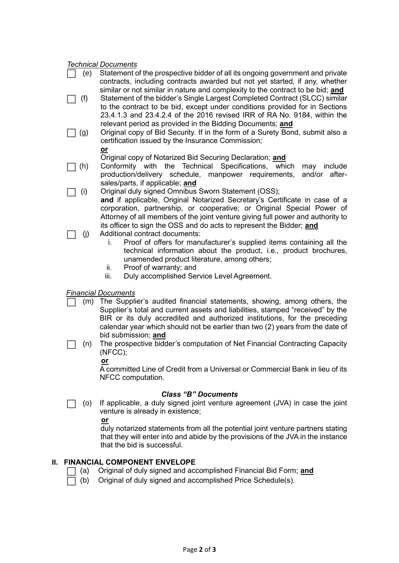#### *Technical Documents*

- ⬜ (e) Statement of the prospective bidder of all its ongoing government and private contracts, including contracts awarded but not yet started, if any, whether similar or not similar in nature and complexity to the contract to be bid; **and**
- ⬜ (f) Statement of the bidder's Single Largest Completed Contract (SLCC) similar to the contract to be bid, except under conditions provided for in Sections 23.4.1.3 and 23.4.2.4 of the 2016 revised IRR of RA No. 9184, within the relevant period as provided in the Bidding Documents; **and**
- $\Box$  (g) Original copy of Bid Security. If in the form of a Surety Bond, submit also a certification issued by the Insurance Commission; **or**

Original copy of Notarized Bid Securing Declaration; **and**

- $\Box$  (h) Conformity with the Technical Specifications, which may include production/delivery schedule, manpower requirements, and/or aftersales/parts, if applicable; **and**
- ⬜ (i) Original duly signed Omnibus Sworn Statement (OSS);
	- **and** if applicable, Original Notarized Secretary's Certificate in case of a corporation, partnership, or cooperative; or Original Special Power of Attorney of all members of the joint venture giving full power and authority to its officer to sign the OSS and do acts to represent the Bidder; **and**
	- ⬜ (j) Additional contract documents:
		- i. Proof of offers for manufacturer's supplied items containing all the technical information about the product, i.e., product brochures, unamended product literature, among others;
		- ii. Proof of warranty; and
		- iii. Duly accomplished Service Level Agreement.

## *Financial Documents*

- ⬜ (m) The Supplier's audited financial statements, showing, among others, the Supplier's total and current assets and liabilities, stamped "received" by the BIR or its duly accredited and authorized institutions, for the preceding calendar year which should not be earlier than two (2) years from the date of bid submission; **and**
- $\Box$  (n) The prospective bidder's computation of Net Financial Contracting Capacity (NFCC);

#### **or**

A committed Line of Credit from a Universal or Commercial Bank in lieu of its NFCC computation.

#### *Class "B" Documents*

 $\Box$  (o) If applicable, a duly signed joint venture agreement (JVA) in case the joint venture is already in existence;

## **or**

duly notarized statements from all the potential joint venture partners stating that they will enter into and abide by the provisions of the JVA in the instance that the bid is successful.

## **II. FINANCIAL COMPONENT ENVELOPE**

- ⬜ (a) Original of duly signed and accomplished Financial Bid Form; **and**
- ⬜ (b) Original of duly signed and accomplished Price Schedule(s).